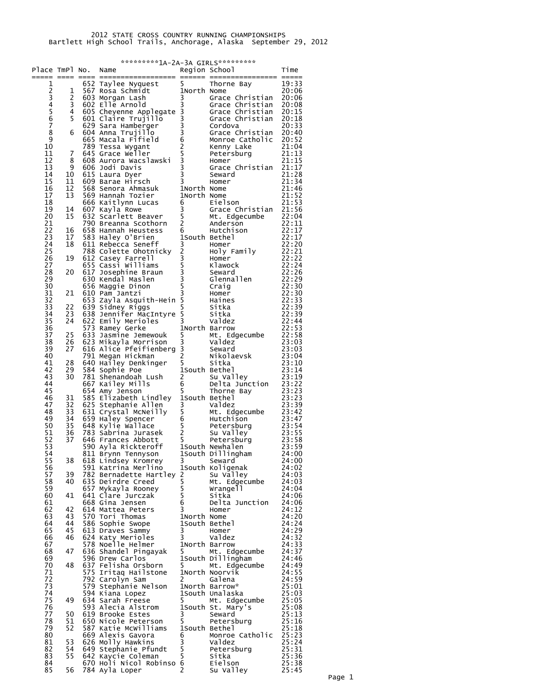| Place TmPl No. |                | *********1A-2A-3A GIRLS**********<br>Region School Time<br>Name |                                                                                                                                                                                                                                                            |                     |                                                                          |                |  |  |  |
|----------------|----------------|-----------------------------------------------------------------|------------------------------------------------------------------------------------------------------------------------------------------------------------------------------------------------------------------------------------------------------------|---------------------|--------------------------------------------------------------------------|----------------|--|--|--|
|                |                |                                                                 |                                                                                                                                                                                                                                                            |                     |                                                                          |                |  |  |  |
| 1              |                |                                                                 | Example and the matrix of the same of the same of the same of the same of the same of the same of the same of the same of the same of the same of the same of the same of the same of the same of the same of the same of the                              |                     |                                                                          | 19:33<br>20:06 |  |  |  |
|                | 1<br>2         |                                                                 |                                                                                                                                                                                                                                                            |                     | Grace Christian 20:06                                                    |                |  |  |  |
| 234567         | 3              |                                                                 |                                                                                                                                                                                                                                                            |                     |                                                                          | 20:08          |  |  |  |
|                | $\overline{4}$ |                                                                 |                                                                                                                                                                                                                                                            |                     |                                                                          | 20:15          |  |  |  |
|                | 5              |                                                                 |                                                                                                                                                                                                                                                            |                     |                                                                          | 20:18<br>20:33 |  |  |  |
| 8              | 6              |                                                                 |                                                                                                                                                                                                                                                            |                     |                                                                          | 20:40          |  |  |  |
| 9              |                |                                                                 |                                                                                                                                                                                                                                                            |                     |                                                                          | 20:52          |  |  |  |
| 10<br>11       | $\overline{7}$ |                                                                 |                                                                                                                                                                                                                                                            |                     |                                                                          | 21:04<br>21:13 |  |  |  |
| 12             | 8              |                                                                 |                                                                                                                                                                                                                                                            |                     |                                                                          |                |  |  |  |
| 13             | 9              |                                                                 |                                                                                                                                                                                                                                                            |                     |                                                                          |                |  |  |  |
| 14<br>15       | 10<br>11       |                                                                 |                                                                                                                                                                                                                                                            |                     |                                                                          |                |  |  |  |
| 16             | 12             |                                                                 |                                                                                                                                                                                                                                                            |                     |                                                                          |                |  |  |  |
| 17             | 13             |                                                                 | 645 via.<br>606 Judi Davis<br>605 Judi Davis<br>615 Laura Dyer<br>609 Barae Hirsch<br>568 Senora Ahmasuk<br>568 Senora Ahmasuk<br>766 Kaitlynn Lucas<br>66 Kaitlynn Lucas<br>66 Eilson<br>67 Kayla Rowe<br>82 Scarlett Beaver<br>790 Breanna Scothorn<br>  |                     |                                                                          |                |  |  |  |
| 18<br>19       | 14             |                                                                 |                                                                                                                                                                                                                                                            |                     |                                                                          |                |  |  |  |
| 20             | 15             |                                                                 |                                                                                                                                                                                                                                                            |                     |                                                                          |                |  |  |  |
| 21             |                |                                                                 |                                                                                                                                                                                                                                                            |                     |                                                                          |                |  |  |  |
| 22             | 16             |                                                                 | 22:17<br>22:17<br>22:17<br>612 Casey Farrell<br>612 Casey Farrell<br>655 Cassi Williams<br>655 Cassi Williams<br>67 Josephine Braun<br>86 Maggie Dinom<br>86 Maggie Dinom<br>86 Maggie Dinom<br>86 Maggie Dinom<br>86 Maggie Dinom<br>86 Maggie Dinom<br>8 |                     |                                                                          |                |  |  |  |
| 23<br>24       | 17<br>18       |                                                                 |                                                                                                                                                                                                                                                            |                     |                                                                          |                |  |  |  |
| 25             |                |                                                                 |                                                                                                                                                                                                                                                            |                     |                                                                          |                |  |  |  |
| 26             | 19             |                                                                 |                                                                                                                                                                                                                                                            |                     |                                                                          |                |  |  |  |
| 27<br>28       | 20             |                                                                 |                                                                                                                                                                                                                                                            |                     |                                                                          |                |  |  |  |
| 29             |                |                                                                 |                                                                                                                                                                                                                                                            |                     |                                                                          |                |  |  |  |
| 30             |                |                                                                 |                                                                                                                                                                                                                                                            |                     |                                                                          |                |  |  |  |
| 31             | 21             |                                                                 |                                                                                                                                                                                                                                                            |                     |                                                                          |                |  |  |  |
| 32<br>33       | 22             |                                                                 |                                                                                                                                                                                                                                                            |                     |                                                                          |                |  |  |  |
| 34             | 23             |                                                                 |                                                                                                                                                                                                                                                            |                     |                                                                          |                |  |  |  |
| 35             | 24             |                                                                 |                                                                                                                                                                                                                                                            |                     |                                                                          |                |  |  |  |
| 36             |                |                                                                 |                                                                                                                                                                                                                                                            |                     |                                                                          |                |  |  |  |
| 37<br>38       | 25<br>26       |                                                                 |                                                                                                                                                                                                                                                            |                     |                                                                          |                |  |  |  |
| 39             | 27             |                                                                 | 22:53<br>623 Mikayla Morrison 3 Valdez<br>616 Alice Pfeifienberg 3 Seward 23:03<br>791 Megan Hickman<br>791 Megan Hickman                                                                                                                                  |                     |                                                                          |                |  |  |  |
| 40             |                |                                                                 |                                                                                                                                                                                                                                                            |                     |                                                                          |                |  |  |  |
| 41<br>42       | 28<br>29       |                                                                 | 640 Hailey Denkinger<br>584 Sophie Poe                                                                                                                                                                                                                     | 5<br>1South Bethel  | Sitka                                                                    | 23:10<br>23:14 |  |  |  |
| 43             | 30             |                                                                 | 584 Suppose<br>781 Shenandoah Lush<br>2002 Martin Mills                                                                                                                                                                                                    | $\overline{c}$      | Su Valley                                                                | 23:19          |  |  |  |
| 44             |                |                                                                 | 667 Kailey Mills                                                                                                                                                                                                                                           | 6                   | Delta Junction 23:22<br>Thorne Bay 23:23<br>Bethel 23:23<br>Valdez 23:39 |                |  |  |  |
| 45<br>46       | 31             |                                                                 | 654 Amy Jenson<br>585 Elizabeth Lindley 1South Bethel                                                                                                                                                                                                      | 5                   |                                                                          |                |  |  |  |
| 47             | 32             |                                                                 |                                                                                                                                                                                                                                                            |                     |                                                                          |                |  |  |  |
| 48             | 33             |                                                                 |                                                                                                                                                                                                                                                            |                     |                                                                          |                |  |  |  |
| 49             | 34             |                                                                 | For Explaining allen<br>Salary Stephanie Allen<br>Salary Spencer<br>Salary Spencer<br>Salary Spencer<br>Salary Spencer<br>Salary Spencer<br>Salary Spencer<br>Salary Spencer<br>Salary Salary 23:55<br>Salary Salary 23:55<br>Salary 23:55<br>Salary 2     |                     |                                                                          |                |  |  |  |
| 50<br>51       | 35<br>36       |                                                                 |                                                                                                                                                                                                                                                            |                     |                                                                          |                |  |  |  |
| 52             | 37             |                                                                 |                                                                                                                                                                                                                                                            |                     |                                                                          |                |  |  |  |
| 53             |                |                                                                 |                                                                                                                                                                                                                                                            |                     |                                                                          |                |  |  |  |
| 54<br>55       | 38             |                                                                 | 811 Brynn Tennyson<br>618 Lindsey Kromrey                                                                                                                                                                                                                  | 3                   | 1South Dillingham<br>Seward                                              | 24:00<br>24:00 |  |  |  |
| 56             |                |                                                                 | 591 Katrina Merlino                                                                                                                                                                                                                                        |                     | 1South Koligenak                                                         | 24:02          |  |  |  |
| 57             | 39             |                                                                 | 782 Bernadette Hartley 2                                                                                                                                                                                                                                   |                     | Su Valley                                                                | 24:03          |  |  |  |
| 58             | 40             |                                                                 | 635 Deirdre Creed                                                                                                                                                                                                                                          | 5<br>$\overline{5}$ | Mt. Edgecumbe                                                            | 24:03          |  |  |  |
| 59<br>60       | 41             |                                                                 | 657 Mykayla Rooney<br>641 Clare Jurczak                                                                                                                                                                                                                    | $\overline{5}$      | Wrangell<br>Sitka                                                        | 24:04<br>24:06 |  |  |  |
| 61             |                |                                                                 | 668 Gina Jensen                                                                                                                                                                                                                                            | 6                   | Delta Junction                                                           | 24:06          |  |  |  |
| 62             | 42             |                                                                 | 614 Mattea Peters                                                                                                                                                                                                                                          | 3                   | Homer                                                                    | 24:12          |  |  |  |
| 63<br>64       | 43<br>44       |                                                                 | 570 Tori Thomas<br>586 Sophie Swope                                                                                                                                                                                                                        | 1North Nome         | 1South Bethel                                                            | 24:20<br>24:24 |  |  |  |
| 65             | 45             |                                                                 | 613 Draves Sammy                                                                                                                                                                                                                                           | 3                   | Homer                                                                    | 24:29          |  |  |  |
| 66             | 46             |                                                                 | 624 Katy Merioles                                                                                                                                                                                                                                          | 3                   | Valdez                                                                   | 24:32          |  |  |  |
| 67<br>68       | 47             |                                                                 | 578 Noelle Helmer<br>636 Shandel Pingayak                                                                                                                                                                                                                  | 5                   | 1North Barrow<br>Mt. Edgecumbe                                           | 24:33<br>24:37 |  |  |  |
| 69             |                |                                                                 | 596 Drew Carlos                                                                                                                                                                                                                                            |                     | 1South Dillingham                                                        | 24:46          |  |  |  |
| 70             | 48             |                                                                 | 637 Felisha Orsborn                                                                                                                                                                                                                                        | 5                   | Mt. Edgecumbe                                                            | 24:49          |  |  |  |
| 71             |                |                                                                 | 575 Iritaq Hailstone                                                                                                                                                                                                                                       |                     | 1North Noorvik                                                           | 24:55          |  |  |  |
| 72<br>73       |                |                                                                 | 792 Carolyn Sam<br>579 Stephanie Nelson                                                                                                                                                                                                                    | 2                   | Galena<br>1North Barrow*                                                 | 24:59<br>25:01 |  |  |  |
| 74             |                |                                                                 | 594 Kiana Lopez                                                                                                                                                                                                                                            |                     | 1South Unalaska                                                          | 25:03          |  |  |  |
| 75             | 49             |                                                                 | 634 Sarah Freese                                                                                                                                                                                                                                           | 5                   | Mt. Edgecumbe                                                            | 25:05          |  |  |  |
| 76<br>77       | 50             |                                                                 | 593 Alecia Alstrom<br>619 Brooke Estes                                                                                                                                                                                                                     | 3                   | 1South St. Mary's<br>Seward                                              | 25:08<br>25:13 |  |  |  |
| 78             | 51             |                                                                 | 650 Nicole Peterson                                                                                                                                                                                                                                        | 5                   | Petersburg                                                               | 25:16          |  |  |  |
| 79             | 52             |                                                                 | 587 Katie McWilliams                                                                                                                                                                                                                                       |                     | 1South Bethel                                                            | 25:18          |  |  |  |
| 80<br>81       | 53             |                                                                 | 669 Alexis Gavora                                                                                                                                                                                                                                          | 6                   | Monroe Catholic                                                          | 25:23<br>25:24 |  |  |  |
| 82             | 54             |                                                                 | 626 Molly Hawkins<br>649 Stephanie Pfundt                                                                                                                                                                                                                  | 3<br>5              | Valdez<br>Petersburg                                                     | 25:31          |  |  |  |
| 83             | 55             |                                                                 | 642 Kaycie Coleman                                                                                                                                                                                                                                         | 5                   | Sitka                                                                    | 25:36          |  |  |  |
| 84             |                |                                                                 | 670 Holi Nicol Robinso 6                                                                                                                                                                                                                                   |                     | Eielson                                                                  | 25:38          |  |  |  |
| 85             | 56             |                                                                 | 784 Ayla Loper                                                                                                                                                                                                                                             | 2                   | Su Valley                                                                | 25:45          |  |  |  |